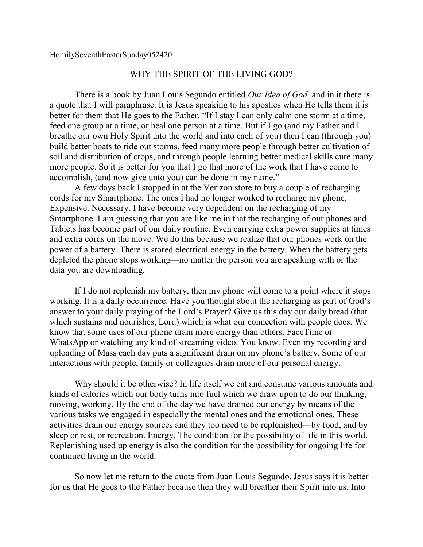## WHY THE SPIRIT OF THE LIVING GOD?

There is a book by Juan Louis Segundo entitled *Our Idea of God,* and in it there is a quote that I will paraphrase. It is Jesus speaking to his apostles when He tells them it is better for them that He goes to the Father. "If I stay I can only calm one storm at a time, feed one group at a time, or heal one person at a time. But if I go (and my Father and I breathe our own Holy Spirit into the world and into each of you) then I can (through you) build better boats to ride out storms, feed many more people through better cultivation of soil and distribution of crops, and through people learning better medical skills cure many more people. So it is better for you that I go that more of the work that I have come to accomplish, (and now give unto you) can be done in my name."

A few days back I stopped in at the Verizon store to buy a couple of recharging cords for my Smartphone. The ones I had no longer worked to recharge my phone. Expensive. Necessary. I have become very dependent on the recharging of my Smartphone. I am guessing that you are like me in that the recharging of our phones and Tablets has become part of our daily routine. Even carrying extra power supplies at times and extra cords on the move. We do this because we realize that our phones work on the power of a battery. There is stored electrical energy in the battery. When the battery gets depleted the phone stops working—no matter the person you are speaking with or the data you are downloading.

If I do not replenish my battery, then my phone will come to a point where it stops working. It is a daily occurrence. Have you thought about the recharging as part of God's answer to your daily praying of the Lord's Prayer? Give us this day our daily bread (that which sustains and nourishes, Lord) which is what our connection with people does. We know that some uses of our phone drain more energy than others. FaceTime or WhatsApp or watching any kind of streaming video. You know. Even my recording and uploading of Mass each day puts a significant drain on my phone's battery. Some of our interactions with people, family or colleagues drain more of our personal energy.

Why should it be otherwise? In life itself we eat and consume various amounts and kinds of calories which our body turns into fuel which we draw upon to do our thinking, moving, working. By the end of the day we have drained our energy by means of the various tasks we engaged in especially the mental ones and the emotional ones. These activities drain our energy sources and they too need to be replenished—by food, and by sleep or rest, or recreation. Energy. The condition for the possibility of life in this world. Replenishing used up energy is also the condition for the possibility for ongoing life for continued living in the world.

So now let me return to the quote from Juan Louis Segundo. Jesus says it is better for us that He goes to the Father because then they will breather their Spirit into us. Into